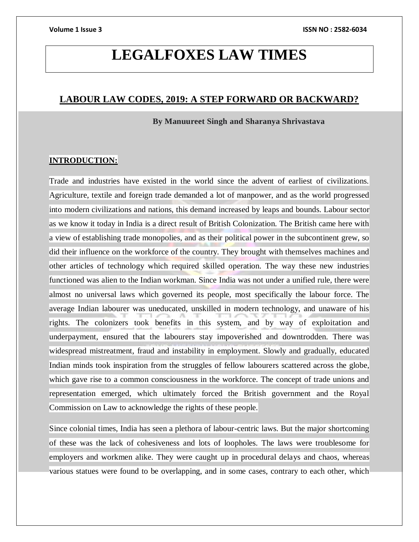## **LEGALFOXES LAW TIMES**

### **LABOUR LAW CODES, 2019: A STEP FORWARD OR BACKWARD?**

 **By Manuureet Singh and Sharanya Shrivastava**

#### **INTRODUCTION:**

Trade and industries have existed in the world since the advent of earliest of civilizations. Agriculture, textile and foreign trade demanded a lot of manpower, and as the world progressed into modern civilizations and nations, this demand increased by leaps and bounds. Labour sector as we know it today in India is a direct result of British Colonization. The British came here with a view of establishing trade monopolies, and as their political power in the subcontinent grew, so did their influence on the workforce of the country. They brought with themselves machines and other articles of technology which required skilled operation. The way these new industries functioned was alien to the Indian workman. Since India was not under a unified rule, there were almost no universal laws which governed its people, most specifically the labour force. The average Indian labourer was uneducated, unskilled in modern technology, and unaware of his rights. The colonizers took benefits in this system, and by way of exploitation and underpayment, ensured that the labourers stay impoverished and downtrodden. There was widespread mistreatment, fraud and instability in employment. Slowly and gradually, educated Indian minds took inspiration from the struggles of fellow labourers scattered across the globe, which gave rise to a common consciousness in the workforce. The concept of trade unions and representation emerged, which ultimately forced the British government and the Royal Commission on Law to acknowledge the rights of these people.

Since colonial times, India has seen a plethora of labour-centric laws. But the major shortcoming of these was the lack of cohesiveness and lots of loopholes. The laws were troublesome for employers and workmen alike. They were caught up in procedural delays and chaos, whereas various statues were found to be overlapping, and in some cases, contrary to each other, which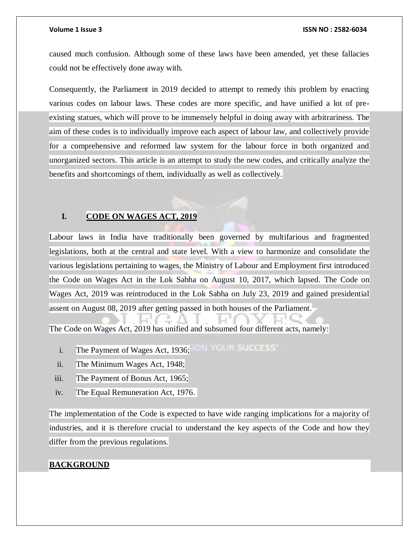caused much confusion. Although some of these laws have been amended, yet these fallacies could not be effectively done away with.

Consequently, the Parliament in 2019 decided to attempt to remedy this problem by enacting various codes on labour laws. These codes are more specific, and have unified a lot of preexisting statues, which will prove to be immensely helpful in doing away with arbitrariness. The aim of these codes is to individually improve each aspect of labour law, and collectively provide for a comprehensive and reformed law system for the labour force in both organized and unorganized sectors. This article is an attempt to study the new codes, and critically analyze the benefits and shortcomings of them, individually as well as collectively.

#### **I. CODE ON WAGES ACT, 2019**

Labour laws in India have traditionally been governed by multifarious and fragmented legislations, both at the central and state level. With a view to harmonize and consolidate the various legislations pertaining to wages, the Ministry of Labour and Employment first introduced the Code on Wages Act in the Lok Sabha on August 10, 2017, which lapsed. The Code on Wages Act, 2019 was reintroduced in the Lok Sabha on July 23, 2019 and gained presidential assent on August 08, 2019 after getting passed in both houses of the Parliament.

The Code on Wages Act, 2019 has unified and subsumed four different acts, namely:

- i. The Payment of Wages Act, 1936; ILLY OUR SUCCESS
- ii. The Minimum Wages Act, 1948;
- iii. The Payment of Bonus Act, 1965;
- iv. The Equal Remuneration Act, 1976.

The implementation of the Code is expected to have wide ranging implications for a majority of industries, and it is therefore crucial to understand the key aspects of the Code and how they differ from the previous regulations.

#### **BACKGROUND**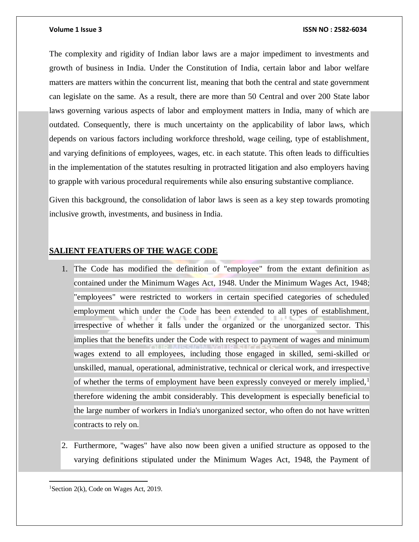The complexity and rigidity of Indian labor laws are a major impediment to investments and growth of business in India. Under the Constitution of India, certain labor and labor welfare matters are matters within the concurrent list, meaning that both the central and state government can legislate on the same. As a result, there are more than 50 Central and over 200 State labor laws governing various aspects of labor and employment matters in India, many of which are outdated. Consequently, there is much uncertainty on the applicability of labor laws, which depends on various factors including workforce threshold, wage ceiling, type of establishment, and varying definitions of employees, wages, etc. in each statute. This often leads to difficulties in the implementation of the statutes resulting in protracted litigation and also employers having to grapple with various procedural requirements while also ensuring substantive compliance.

Given this background, the consolidation of labor laws is seen as a key step towards promoting inclusive growth, investments, and business in India.

#### **SALIENT FEATUERS OF THE WAGE CODE**

- 1. The Code has modified the definition of "employee" from the extant definition as contained under the Minimum Wages Act, 1948. Under the Minimum Wages Act, 1948; "employees" were restricted to workers in certain specified categories of scheduled employment which under the Code has been extended to all types of establishment, irrespective of whether it falls under the organized or the unorganized sector. This implies that the benefits under the Code with respect to payment of wages and minimum wages extend to all employees, including those engaged in skilled, semi-skilled or unskilled, manual, operational, administrative, technical or clerical work, and irrespective of whether the terms of employment have been expressly conveyed or merely implied, $\frac{1}{2}$ therefore widening the ambit considerably. This development is especially beneficial to the large number of workers in India's unorganized sector, who often do not have written contracts to rely on.
- 2. Furthermore, "wages" have also now been given a unified structure as opposed to the varying definitions stipulated under the Minimum Wages Act, 1948, the Payment of

 $\overline{a}$ <sup>1</sup>Section 2(k), Code on Wages Act, 2019.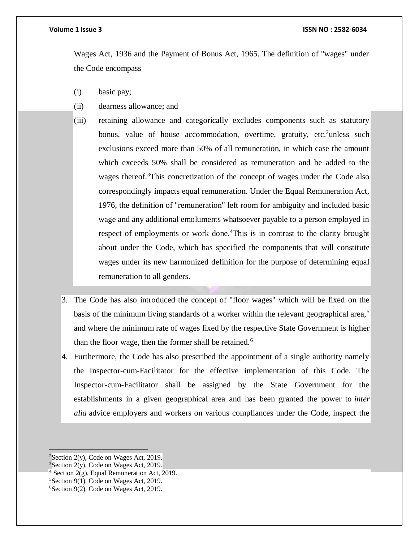Wages Act, 1936 and the Payment of Bonus Act, 1965. The definition of "wages" under the Code encompass

- (i) basic pay;
- (ii) dearness allowance; and
- (iii) retaining allowance and categorically excludes components such as statutory bonus, value of house accommodation, overtime, gratuity, etc. unless such exclusions exceed more than 50% of all remuneration, in which case the amount which exceeds 50% shall be considered as remuneration and be added to the wages thereof.<sup>3</sup>This concretization of the concept of wages under the Code also correspondingly impacts equal remuneration. Under the Equal Remuneration Act, 1976, the definition of "remuneration" left room for ambiguity and included basic wage and any additional emoluments whatsoever payable to a person employed in respect of employments or work done.<sup>4</sup>This is in contrast to the clarity brought about under the Code, which has specified the components that will constitute wages under its new harmonized definition for the purpose of determining equal remuneration to all genders.
- 3. The Code has also introduced the concept of "floor wages" which will be fixed on the basis of the minimum living standards of a worker within the relevant geographical area,<sup>5</sup> and where the minimum rate of wages fixed by the respective State Government is higher than the floor wage, then the former shall be retained.<sup>6</sup>
- 4. Furthermore, the Code has also prescribed the appointment of a single authority namely the Inspector-cum-Facilitator for the effective implementation of this Code. The Inspector-cum-Facilitator shall be assigned by the State Government for the establishments in a given geographical area and has been granted the power to *inter alia* advice employers and workers on various compliances under the Code, inspect the

 $2$ Section 2(y), Code on Wages Act, 2019.

 $3$ Section 2(y), Code on Wages Act, 2019.

 $4$  Section 2(g), Equal Remuneration Act, 2019.

<sup>5</sup>Section 9(1), Code on Wages Act, 2019.

<sup>6</sup>Section 9(2), Code on Wages Act, 2019.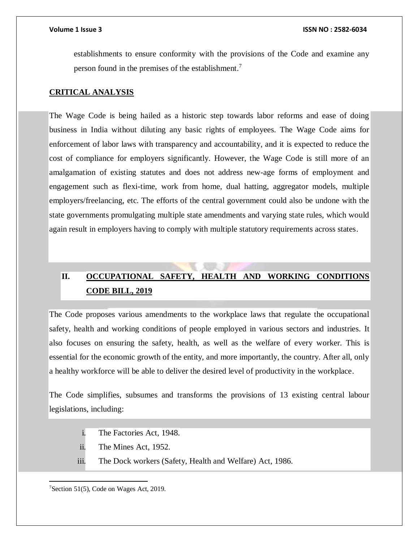establishments to ensure conformity with the provisions of the Code and examine any person found in the premises of the establishment.<sup>7</sup>

#### **CRITICAL ANALYSIS**

The Wage Code is being hailed as a historic step towards labor reforms and ease of doing business in India without diluting any basic rights of employees. The Wage Code aims for enforcement of labor laws with transparency and accountability, and it is expected to reduce the cost of compliance for employers significantly. However, the Wage Code is still more of an amalgamation of existing statutes and does not address new-age forms of employment and engagement such as flexi-time, work from home, dual hatting, aggregator models, multiple employers/freelancing, etc. The efforts of the central government could also be undone with the state governments promulgating multiple state amendments and varying state rules, which would again result in employers having to comply with multiple statutory requirements across states.

### **II. OCCUPATIONAL SAFETY, HEALTH AND WORKING CONDITIONS CODE BILL, 2019**

The Code proposes various amendments to the workplace laws that regulate the occupational safety, health and working conditions of people employed in various sectors and industries. It also focuses on ensuring the safety, health, as well as the welfare of every worker. This is essential for the economic growth of the entity, and more importantly, the country. After all, only a healthy workforce will be able to deliver the desired level of productivity in the workplace.

The Code simplifies, subsumes and transforms the provisions of 13 existing central labour legislations, including:

- i. The Factories Act, 1948.
- ii. The Mines Act, 1952.
- iii. The Dock workers (Safety, Health and Welfare) Act, 1986.

7Section 51(5), Code on Wages Act, 2019.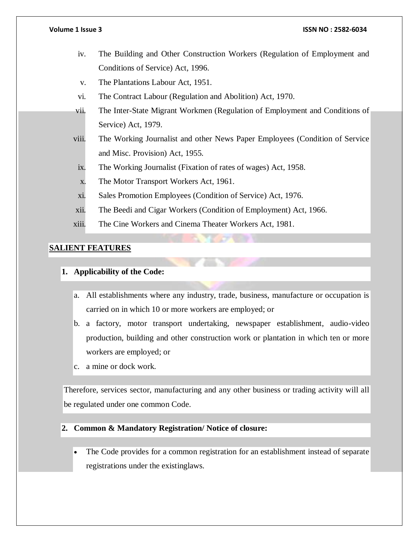- iv. The Building and Other Construction Workers (Regulation of Employment and Conditions of Service) Act, 1996.
- v. The Plantations Labour Act, 1951.
- vi. The Contract Labour (Regulation and Abolition) Act, 1970.
- vii. The Inter-State Migrant Workmen (Regulation of Employment and Conditions of Service) Act, 1979.
- viii. The Working Journalist and other News Paper Employees (Condition of Service and Misc. Provision) Act, 1955.
	- ix. The Working Journalist (Fixation of rates of wages) Act, 1958.
	- x. The Motor Transport Workers Act, 1961.
- xi. Sales Promotion Employees (Condition of Service) Act, 1976.
- xii. The Beedi and Cigar Workers (Condition of Employment) Act, 1966.
- xiii. The Cine Workers and Cinema Theater Workers Act, 1981.

#### **SALIENT FEATURES**

### **1. Applicability of the Code:**

- a. All establishments where any industry, trade, business, manufacture or occupation is carried on in which 10 or more workers are employed; or
- b. a factory, motor transport undertaking, newspaper establishment, audio-video production, building and other construction work or plantation in which ten or more workers are employed; or
- c. a mine or dock work.

Therefore, services sector, manufacturing and any other business or trading activity will all be regulated under one common Code.

#### **2. Common & Mandatory Registration/ Notice of closure:**

 The Code provides for a common registration for an establishment instead of separate registrations under the existinglaws.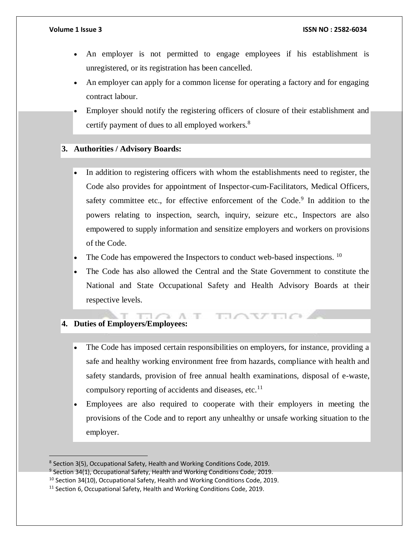- An employer is not permitted to engage employees if his establishment is unregistered, or its registration has been cancelled.
- An employer can apply for a common license for operating a factory and for engaging contract labour.
- Employer should notify the registering officers of closure of their establishment and certify payment of dues to all employed workers.<sup>8</sup>

### **3. Authorities / Advisory Boards:**

- In addition to registering officers with whom the establishments need to register, the Code also provides for appointment of Inspector-cum-Facilitators, Medical Officers, safety committee etc., for effective enforcement of the Code. $9$  In addition to the powers relating to inspection, search, inquiry, seizure etc., Inspectors are also empowered to supply information and sensitize employers and workers on provisions of the Code.
- The Code has empowered the Inspectors to conduct web-based inspections.  $10$
- The Code has also allowed the Central and the State Government to constitute the National and State Occupational Safety and Health Advisory Boards at their respective levels.

**ELOSTEO** 

### **4. Duties of Employers/Employees:**

 $\overline{a}$ 

- The Code has imposed certain responsibilities on employers, for instance, providing a safe and healthy working environment free from hazards, compliance with health and safety standards, provision of free annual health examinations, disposal of e-waste, compulsory reporting of accidents and diseases, etc. $^{11}$
- Employees are also required to cooperate with their employers in meeting the provisions of the Code and to report any unhealthy or unsafe working situation to the employer.

 $T \cap \cap \cap \cap T$ 

<sup>&</sup>lt;sup>8</sup> Section 3(5), Occupational Safety, Health and Working Conditions Code, 2019.

<sup>&</sup>lt;sup>9</sup> Section 34(1), Occupational Safety, Health and Working Conditions Code, 2019.

 $10$  Section 34(10), Occupational Safety, Health and Working Conditions Code, 2019.

 $11$  Section 6, Occupational Safety, Health and Working Conditions Code, 2019.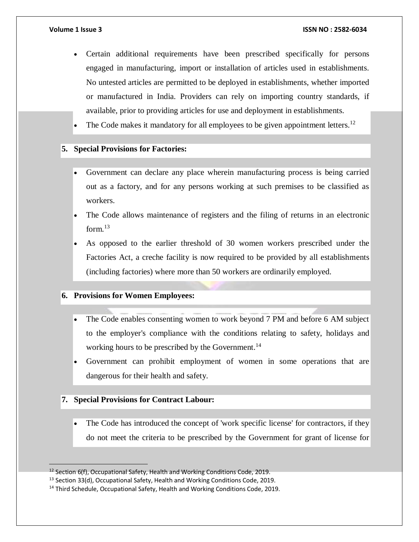- Certain additional requirements have been prescribed specifically for persons engaged in manufacturing, import or installation of articles used in establishments. No untested articles are permitted to be deployed in establishments, whether imported or manufactured in India. Providers can rely on importing country standards, if available, prior to providing articles for use and deployment in establishments.
- The Code makes it mandatory for all employees to be given appointment letters.<sup>12</sup>

### **5. Special Provisions for Factories:**

- Government can declare any place wherein manufacturing process is being carried out as a factory, and for any persons working at such premises to be classified as workers.
- The Code allows maintenance of registers and the filing of returns in an electronic form. $13$
- As opposed to the earlier threshold of 30 women workers prescribed under the Factories Act, a creche facility is now required to be provided by all establishments (including factories) where more than 50 workers are ordinarily employed.

#### **6. Provisions for Women Employees:**

- The Code enables consenting women to work beyond 7 PM and before 6 AM subject to the employer's compliance with the conditions relating to safety, holidays and working hours to be prescribed by the Government.<sup>14</sup>
- Government can prohibit employment of women in some operations that are dangerous for their health and safety.

#### **7. Special Provisions for Contract Labour:**

 $\overline{a}$ 

 The Code has introduced the concept of 'work specific license' for contractors, if they do not meet the criteria to be prescribed by the Government for grant of license for

<sup>&</sup>lt;sup>12</sup> Section 6(f), Occupational Safety, Health and Working Conditions Code, 2019.

<sup>&</sup>lt;sup>13</sup> Section 33(d), Occupational Safety, Health and Working Conditions Code, 2019.

<sup>&</sup>lt;sup>14</sup> Third Schedule, Occupational Safety, Health and Working Conditions Code, 2019.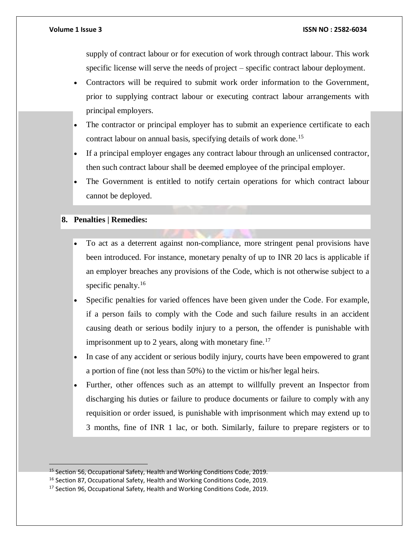supply of contract labour or for execution of work through contract labour. This work specific license will serve the needs of project – specific contract labour deployment.

- Contractors will be required to submit work order information to the Government, prior to supplying contract labour or executing contract labour arrangements with principal employers.
- The contractor or principal employer has to submit an experience certificate to each contract labour on annual basis, specifying details of work done.<sup>15</sup>
- If a principal employer engages any contract labour through an unlicensed contractor, then such contract labour shall be deemed employee of the principal employer.
- The Government is entitled to notify certain operations for which contract labour cannot be deployed.

### **8. Penalties | Remedies:**

- To act as a deterrent against non-compliance, more stringent penal provisions have been introduced. For instance, monetary penalty of up to INR 20 lacs is applicable if an employer breaches any provisions of the Code, which is not otherwise subject to a specific penalty. $16$
- Specific penalties for varied offences have been given under the Code. For example, if a person fails to comply with the Code and such failure results in an accident causing death or serious bodily injury to a person, the offender is punishable with imprisonment up to 2 years, along with monetary fine.<sup>17</sup>
- In case of any accident or serious bodily injury, courts have been empowered to grant a portion of fine (not less than 50%) to the victim or his/her legal heirs.
- Further, other offences such as an attempt to willfully prevent an Inspector from discharging his duties or failure to produce documents or failure to comply with any requisition or order issued, is punishable with imprisonment which may extend up to 3 months, fine of INR 1 lac, or both. Similarly, failure to prepare registers or to

<sup>15</sup> Section 56, Occupational Safety, Health and Working Conditions Code, 2019.

<sup>&</sup>lt;sup>16</sup> Section 87, Occupational Safety, Health and Working Conditions Code, 2019.

<sup>&</sup>lt;sup>17</sup> Section 96, Occupational Safety, Health and Working Conditions Code, 2019.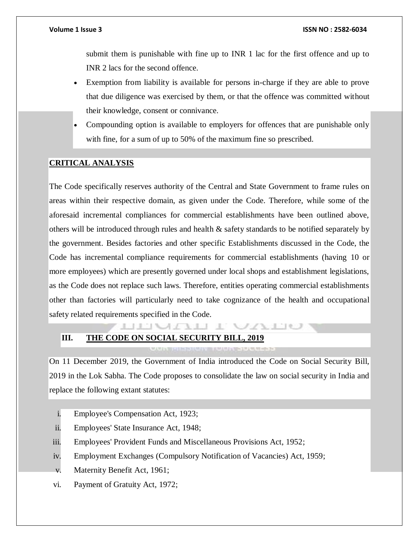submit them is punishable with fine up to INR 1 lac for the first offence and up to INR 2 lacs for the second offence.

- Exemption from liability is available for persons in-charge if they are able to prove that due diligence was exercised by them, or that the offence was committed without their knowledge, consent or connivance.
- Compounding option is available to employers for offences that are punishable only with fine, for a sum of up to 50% of the maximum fine so prescribed.

#### **CRITICAL ANALYSIS**

The Code specifically reserves authority of the Central and State Government to frame rules on areas within their respective domain, as given under the Code. Therefore, while some of the aforesaid incremental compliances for commercial establishments have been outlined above, others will be introduced through rules and health & safety standards to be notified separately by the government. Besides factories and other specific Establishments discussed in the Code, the Code has incremental compliance requirements for commercial establishments (having 10 or more employees) which are presently governed under local shops and establishment legislations, as the Code does not replace such laws. Therefore, entities operating commercial establishments other than factories will particularly need to take cognizance of the health and occupational safety related requirements specified in the Code.

### **LIL MALL III. THE CODE ON SOCIAL SECURITY BILL, 2019**

On 11 December 2019, the Government of India introduced the Code on Social Security Bill, 2019 in the Lok Sabha. The Code proposes to consolidate the law on social security in India and replace the following extant statutes:

 $\sqrt{112}$ 

- i. Employee's Compensation Act, 1923;
- ii. Employees' State Insurance Act, 1948;
- iii. Employees' Provident Funds and Miscellaneous Provisions Act, 1952;
- iv. Employment Exchanges (Compulsory Notification of Vacancies) Act, 1959;
- v. Maternity Benefit Act, 1961;
- vi. Payment of Gratuity Act, 1972;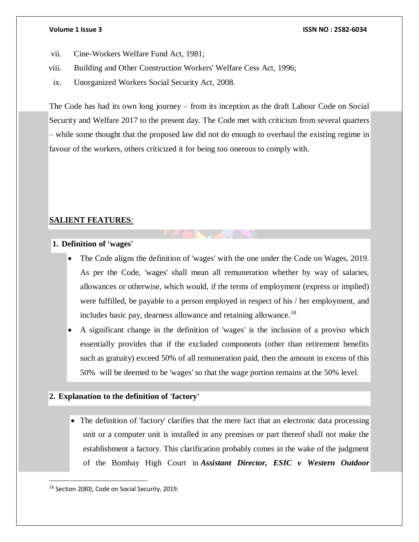- vii. Cine-Workers Welfare Fund Act, 1981;
- viii. Building and Other Construction Workers' Welfare Cess Act, 1996;
- ix. Unorganized Workers Social Security Act, 2008.

The Code has had its own long journey – from its inception as the draft Labour Code on Social Security and Welfare 2017 to the present day. The Code met with criticism from several quarters – while some thought that the proposed law did not do enough to overhaul the existing regime in favour of the workers, others criticized it for being too onerous to comply with.

### **SALIENT FEATURES**:

### **1. Definition of 'wages'**

- The Code aligns the definition of 'wages' with the one under the Code on Wages, 2019. As per the Code, 'wages' shall mean all remuneration whether by way of salaries, allowances or otherwise, which would, if the terms of employment (express or implied) were fulfilled, be payable to a person employed in respect of his / her employment, and includes basic pay, dearness allowance and retaining allowance.<sup>18</sup>
- A significant change in the definition of 'wages' is the inclusion of a proviso which essentially provides that if the excluded components (other than retirement benefits such as gratuity) exceed 50% of all remuneration paid, then the amount in excess of this 50% will be deemed to be 'wages' so that the wage portion remains at the 50% level.

### **2. Explanation to the definition of 'factory'**

• The definition of 'factory' clarifies that the mere fact that an electronic data processing unit or a computer unit is installed in any premises or part thereof shall not make the establishment a factory. This clarification probably comes in the wake of the judgment of the Bombay High Court in *Assistant Director, ESIC v Western Outdoor* 

<sup>&</sup>lt;sup>18</sup> Section 2(80), Code on Social Security, 2019.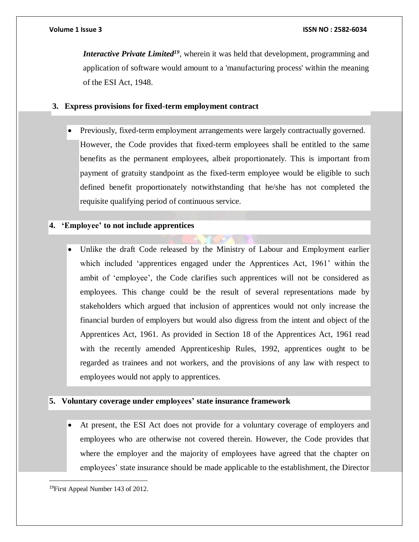*Interactive Private Limited<sup>19</sup>*, wherein it was held that development, programming and application of software would amount to a 'manufacturing process' within the meaning of the ESI Act, 1948.

#### **3. Express provisions for fixed-term employment contract**

 Previously, fixed-term employment arrangements were largely contractually governed. However, the Code provides that fixed-term employees shall be entitled to the same benefits as the permanent employees, albeit proportionately. This is important from payment of gratuity standpoint as the fixed-term employee would be eligible to such defined benefit proportionately notwithstanding that he/she has not completed the requisite qualifying period of continuous service.

#### **4. 'Employee' to not include apprentices**

 Unlike the draft Code released by the Ministry of Labour and Employment earlier which included 'apprentices engaged under the Apprentices Act, 1961' within the ambit of 'employee', the Code clarifies such apprentices will not be considered as employees. This change could be the result of several representations made by stakeholders which argued that inclusion of apprentices would not only increase the financial burden of employers but would also digress from the intent and object of the Apprentices Act, 1961. As provided in Section 18 of the Apprentices Act, 1961 read with the recently amended Apprenticeship Rules, 1992, apprentices ought to be regarded as trainees and not workers, and the provisions of any law with respect to employees would not apply to apprentices.

#### **5. Voluntary coverage under employees' state insurance framework**

 At present, the ESI Act does not provide for a voluntary coverage of employers and employees who are otherwise not covered therein. However, the Code provides that where the employer and the majority of employees have agreed that the chapter on employees' state insurance should be made applicable to the establishment, the Director

<sup>19</sup>First Appeal Number 143 of 2012.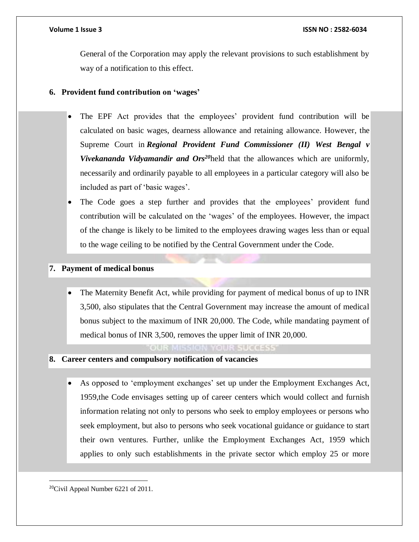General of the Corporation may apply the relevant provisions to such establishment by way of a notification to this effect.

### **6. Provident fund contribution on 'wages'**

- The EPF Act provides that the employees' provident fund contribution will be calculated on basic wages, dearness allowance and retaining allowance. However, the Supreme Court in *Regional Provident Fund Commissioner (II) West Bengal v Vivekananda Vidyamandir and Ors<sup>20</sup>*held that the allowances which are uniformly, necessarily and ordinarily payable to all employees in a particular category will also be included as part of 'basic wages'.
- The Code goes a step further and provides that the employees' provident fund contribution will be calculated on the 'wages' of the employees. However, the impact of the change is likely to be limited to the employees drawing wages less than or equal to the wage ceiling to be notified by the Central Government under the Code.

### **7. Payment of medical bonus**

 The Maternity Benefit Act, while providing for payment of medical bonus of up to INR 3,500, also stipulates that the Central Government may increase the amount of medical bonus subject to the maximum of INR 20,000. The Code, while mandating payment of medical bonus of INR 3,500, removes the upper limit of INR 20,000.

#### OUR MISSION YOUR SUCCESS

- **8. Career centers and compulsory notification of vacancies**
	- As opposed to 'employment exchanges' set up under the Employment Exchanges Act, 1959,the Code envisages setting up of career centers which would collect and furnish information relating not only to persons who seek to employ employees or persons who seek employment, but also to persons who seek vocational guidance or guidance to start their own ventures. Further, unlike the Employment Exchanges Act, 1959 which applies to only such establishments in the private sector which employ 25 or more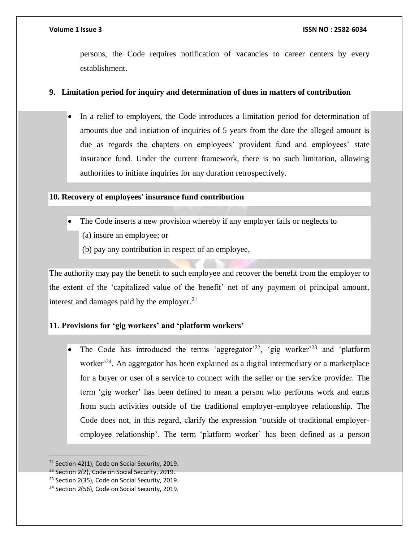persons, the Code requires notification of vacancies to career centers by every establishment.

### **9. Limitation period for inquiry and determination of dues in matters of contribution**

 In a relief to employers, the Code introduces a limitation period for determination of amounts due and initiation of inquiries of 5 years from the date the alleged amount is due as regards the chapters on employees' provident fund and employees' state insurance fund. Under the current framework, there is no such limitation, allowing authorities to initiate inquiries for any duration retrospectively.

### **10. Recovery of employees' insurance fund contribution**

- The Code inserts a new provision whereby if any employer fails or neglects to
	- (a) insure an employee; or
	- (b) pay any contribution in respect of an employee,

The authority may pay the benefit to such employee and recover the benefit from the employer to the extent of the 'capitalized value of the benefit' net of any payment of principal amount, interest and damages paid by the employer. $^{21}$ 

### **11. Provisions for 'gig workers' and 'platform workers'**

• The Code has introduced the terms 'aggregator'<sup>22</sup>, 'gig worker'<sup>23</sup> and 'platform' worker<sup> $24$ </sup>. An aggregator has been explained as a digital intermediary or a marketplace for a buyer or user of a service to connect with the seller or the service provider. The term 'gig worker' has been defined to mean a person who performs work and earns from such activities outside of the traditional employer-employee relationship. The Code does not, in this regard, clarify the expression 'outside of traditional employeremployee relationship'. The term 'platform worker' has been defined as a person

 $21$  Section 42(1), Code on Social Security, 2019.

<sup>&</sup>lt;sup>22</sup> Section 2(2), Code on Social Security, 2019.

<sup>&</sup>lt;sup>23</sup> Section 2(35), Code on Social Security, 2019.

<sup>&</sup>lt;sup>24</sup> Section 2(56), Code on Social Security, 2019.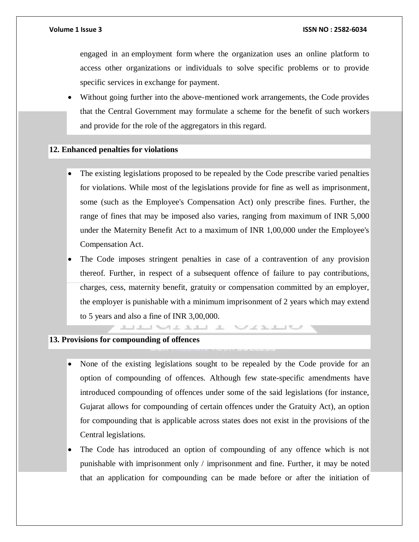engaged in an employment form where the organization uses an online platform to access other organizations or individuals to solve specific problems or to provide specific services in exchange for payment.

 Without going further into the above-mentioned work arrangements, the Code provides that the Central Government may formulate a scheme for the benefit of such workers and provide for the role of the aggregators in this regard.

#### **12. Enhanced penalties for violations**

- The existing legislations proposed to be repealed by the Code prescribe varied penalties for violations. While most of the legislations provide for fine as well as imprisonment, some (such as the Employee's Compensation Act) only prescribe fines. Further, the range of fines that may be imposed also varies, ranging from maximum of INR 5,000 under the Maternity Benefit Act to a maximum of INR 1,00,000 under the Employee's Compensation Act.
- The Code imposes stringent penalties in case of a contravention of any provision thereof. Further, in respect of a subsequent offence of failure to pay contributions, charges, cess, maternity benefit, gratuity or compensation committed by an employer, the employer is punishable with a minimum imprisonment of 2 years which may extend to 5 years and also a fine of INR 3,00,000.

and the state of the state of the first state of the field of the field of the field of the field of the field of the field of the field of the field of the field of the field of the field of the field of the field of the

### **13. Provisions for compounding of offences**

- None of the existing legislations sought to be repealed by the Code provide for an option of compounding of offences. Although few state-specific amendments have introduced compounding of offences under some of the said legislations (for instance, Gujarat allows for compounding of certain offences under the Gratuity Act), an option for compounding that is applicable across states does not exist in the provisions of the Central legislations.
- The Code has introduced an option of compounding of any offence which is not punishable with imprisonment only / imprisonment and fine. Further, it may be noted that an application for compounding can be made before or after the initiation of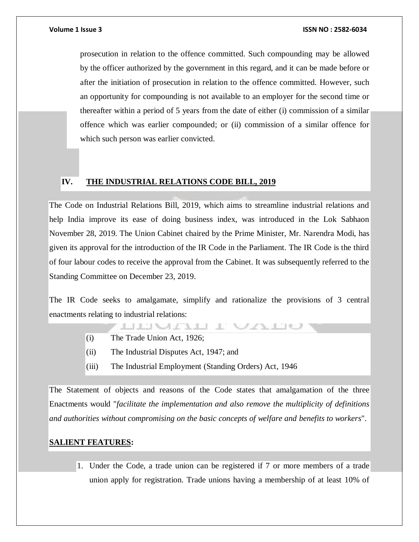prosecution in relation to the offence committed. Such compounding may be allowed by the officer authorized by the government in this regard, and it can be made before or after the initiation of prosecution in relation to the offence committed. However, such an opportunity for compounding is not available to an employer for the second time or thereafter within a period of 5 years from the date of either (i) commission of a similar offence which was earlier compounded; or (ii) commission of a similar offence for which such person was earlier convicted.

### **IV. THE INDUSTRIAL RELATIONS CODE BILL, 2019**

The Code on Industrial Relations Bill, 2019, which aims to streamline industrial relations and help India improve its ease of doing business index, was introduced in the Lok Sabhaon November 28, 2019. The Union Cabinet chaired by the Prime Minister, Mr. Narendra Modi, has given its approval for the introduction of the IR Code in the Parliament. The IR Code is the third of four labour codes to receive the approval from the Cabinet. It was subsequently referred to the Standing Committee on December 23, 2019.

The IR Code seeks to amalgamate, simplify and rationalize the provisions of 3 central enactments relating to industrial relations:

- **LITULITIE**
- (i) The Trade Union Act, 1926;
- (ii) The Industrial Disputes Act, 1947; and
- (iii) The Industrial Employment (Standing Orders) Act, 1946

The Statement of objects and reasons of the Code states that amalgamation of the three Enactments would "*facilitate the implementation and also remove the multiplicity of definitions and authorities without compromising on the basic concepts of welfare and benefits to workers*".

### **SALIENT FEATURES:**

1. Under the Code, a trade union can be registered if 7 or more members of a trade union apply for registration. Trade unions having a membership of at least 10% of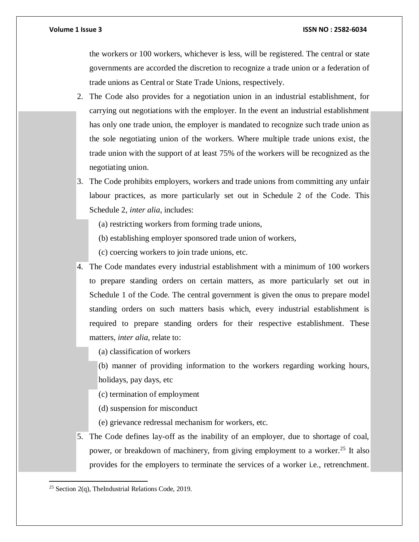the workers or 100 workers, whichever is less, will be registered. The central or state governments are accorded the discretion to recognize a trade union or a federation of trade unions as Central or State Trade Unions, respectively.

- 2. The Code also provides for a negotiation union in an industrial establishment, for carrying out negotiations with the employer. In the event an industrial establishment has only one trade union, the employer is mandated to recognize such trade union as the sole negotiating union of the workers. Where multiple trade unions exist, the trade union with the support of at least 75% of the workers will be recognized as the negotiating union.
- 3. The Code prohibits employers, workers and trade unions from committing any unfair labour practices, as more particularly set out in Schedule 2 of the Code. This Schedule 2, *inter alia*, includes:
	- (a) restricting workers from forming trade unions,
	- (b) establishing employer sponsored trade union of workers,
	- (c) coercing workers to join trade unions, etc.
- 4. The Code mandates every industrial establishment with a minimum of 100 workers to prepare standing orders on certain matters, as more particularly set out in Schedule 1 of the Code. The central government is given the onus to prepare model standing orders on such matters basis which, every industrial establishment is required to prepare standing orders for their respective establishment. These matters, *inter alia*, relate to:

(a) classification of workers

- (b) manner of providing information to the workers regarding working hours, holidays, pay days, etc
- (c) termination of employment
- (d) suspension for misconduct
- (e) grievance redressal mechanism for workers, etc.
- 5. The Code defines lay-off as the inability of an employer, due to shortage of coal, power, or breakdown of machinery, from giving employment to a worker.<sup>25</sup> It also provides for the employers to terminate the services of a worker i.e., retrenchment.

 $\overline{a}$ <sup>25</sup> Section 2(q), TheIndustrial Relations Code, 2019.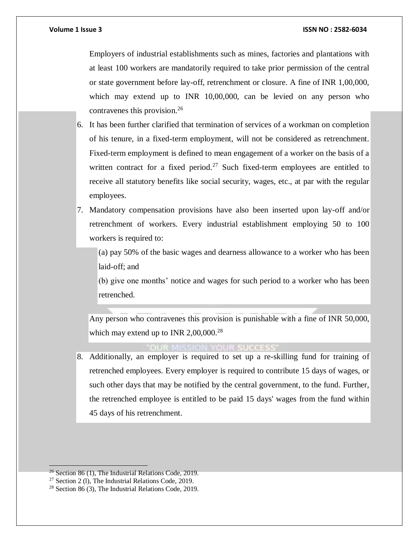Employers of industrial establishments such as mines, factories and plantations with at least 100 workers are mandatorily required to take prior permission of the central or state government before lay-off, retrenchment or closure. A fine of INR 1,00,000, which may extend up to INR 10,00,000, can be levied on any person who contravenes this provision.<sup>26</sup>

- 6. It has been further clarified that termination of services of a workman on completion of his tenure, in a fixed-term employment, will not be considered as retrenchment. Fixed-term employment is defined to mean engagement of a worker on the basis of a written contract for a fixed period.<sup>27</sup> Such fixed-term employees are entitled to receive all statutory benefits like social security, wages, etc., at par with the regular employees.
- 7. Mandatory compensation provisions have also been inserted upon lay-off and/or retrenchment of workers. Every industrial establishment employing 50 to 100 workers is required to:

(a) pay 50% of the basic wages and dearness allowance to a worker who has been laid-off; and

(b) give one months' notice and wages for such period to a worker who has been retrenched.

Any person who contravenes this provision is punishable with a fine of INR 50,000, which may extend up to INR  $2,00,000^{28}$ 

**ON YOUR SUCCESS** 

8. Additionally, an employer is required to set up a re-skilling fund for training of retrenched employees. Every employer is required to contribute 15 days of wages, or such other days that may be notified by the central government, to the fund. Further, the retrenched employee is entitled to be paid 15 days' wages from the fund within 45 days of his retrenchment.

 $26$  Section 86 (1), The Industrial Relations Code, 2019.

<sup>27</sup> Section 2 (l), The Industrial Relations Code, 2019.

<sup>28</sup> Section 86 (3), The Industrial Relations Code, 2019.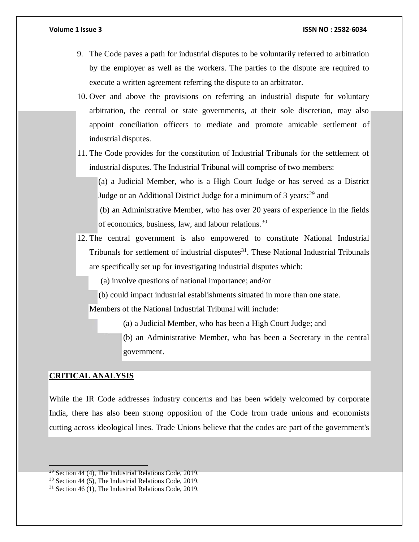- 9. The Code paves a path for industrial disputes to be voluntarily referred to arbitration by the employer as well as the workers. The parties to the dispute are required to execute a written agreement referring the dispute to an arbitrator.
- 10. Over and above the provisions on referring an industrial dispute for voluntary arbitration, the central or state governments, at their sole discretion, may also appoint conciliation officers to mediate and promote amicable settlement of industrial disputes.
- 11. The Code provides for the constitution of Industrial Tribunals for the settlement of industrial disputes. The Industrial Tribunal will comprise of two members:

(a) a Judicial Member, who is a High Court Judge or has served as a District Judge or an Additional District Judge for a minimum of 3 years;<sup>29</sup> and

(b) an Administrative Member, who has over 20 years of experience in the fields of economics, business, law, and labour relations.<sup>30</sup>

12. The central government is also empowered to constitute National Industrial Tribunals for settlement of industrial disputes $31$ . These National Industrial Tribunals are specifically set up for investigating industrial disputes which:

(a) involve questions of national importance; and/or

(b) could impact industrial establishments situated in more than one state.

Members of the National Industrial Tribunal will include:

(a) a Judicial Member, who has been a High Court Judge; and

(b) an Administrative Member, who has been a Secretary in the central government.

#### **CRITICAL ANALYSIS**

 $\overline{a}$ 

While the IR Code addresses industry concerns and has been widely welcomed by corporate India, there has also been strong opposition of the Code from trade unions and economists cutting across ideological lines. Trade Unions believe that the codes are part of the government's

 $29$  Section 44 (4), The Industrial Relations Code, 2019.

<sup>30</sup> Section 44 (5), The Industrial Relations Code, 2019.

<sup>31</sup> Section 46 (1), The Industrial Relations Code, 2019.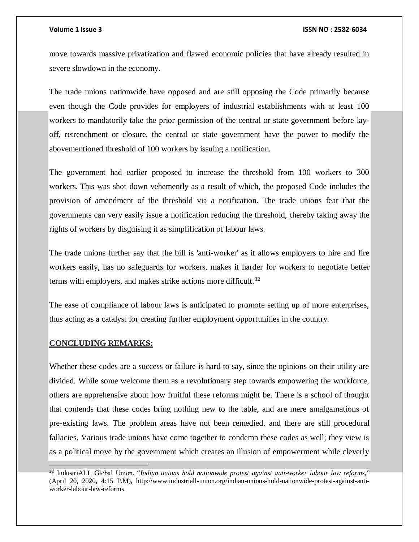move towards massive privatization and flawed economic policies that have already resulted in severe slowdown in the economy.

The trade unions nationwide have opposed and are still opposing the Code primarily because even though the Code provides for employers of industrial establishments with at least 100 workers to mandatorily take the prior permission of the central or state government before layoff, retrenchment or closure, the central or state government have the power to modify the abovementioned threshold of 100 workers by issuing a notification.

The government had earlier proposed to increase the threshold from 100 workers to 300 workers. This was shot down vehemently as a result of which, the proposed Code includes the provision of amendment of the threshold via a notification. The trade unions fear that the governments can very easily issue a notification reducing the threshold, thereby taking away the rights of workers by disguising it as simplification of labour laws.

The trade unions further say that the bill is 'anti-worker' as it allows employers to hire and fire workers easily, has no safeguards for workers, makes it harder for workers to negotiate better terms with employers, and makes strike actions more difficult.<sup>32</sup>

The ease of compliance of labour laws is anticipated to promote setting up of more enterprises, thus acting as a catalyst for creating further employment opportunities in the country.

#### **CONCLUDING REMARKS:**

Whether these codes are a success or failure is hard to say, since the opinions on their utility are divided. While some welcome them as a revolutionary step towards empowering the workforce, others are apprehensive about how fruitful these reforms might be. There is a school of thought that contends that these codes bring nothing new to the table, and are mere amalgamations of pre-existing laws. The problem areas have not been remedied, and there are still procedural fallacies. Various trade unions have come together to condemn these codes as well; they view is as a political move by the government which creates an illusion of empowerment while cleverly

<sup>32</sup> . IndustriALL Global Union, "*Indian unions hold nationwide protest against anti-worker labour law reforms,*" (April 20, 2020, 4:15 P.M), http://www.industriall-union.org/indian-unions-hold-nationwide-protest-against-antiworker-labour-law-reforms.